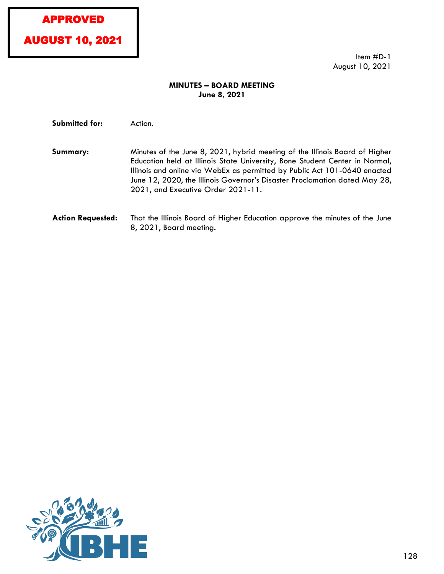# APPROVED



Item #D-1 August 10, 2021

# **MINUTES – BOARD MEETING June 8, 2021**

Submitted for: Action.

- **Summary:** Minutes of the June 8, 2021, hybrid meeting of the Illinois Board of Higher Education held at Illinois State University, Bone Student Center in Normal, Illinois and online via WebEx as permitted by Public Act 101-0640 enacted June 12, 2020, the Illinois Governor's Disaster Proclamation dated May 28, 2021, and Executive Order 2021-11.
- **Action Requested:** That the Illinois Board of Higher Education approve the minutes of the June 8, 2021, Board meeting.

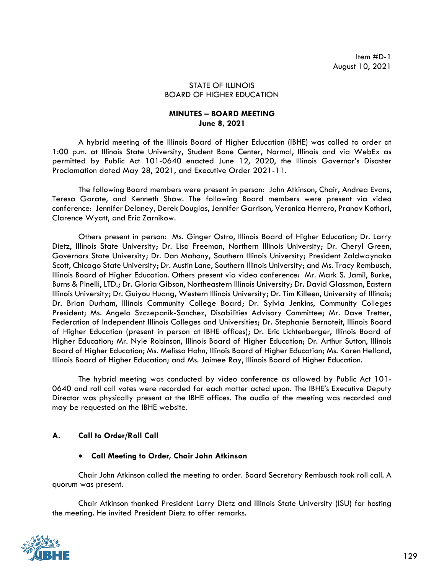#### STATE OF ILLINOIS BOARD OF HIGHER EDUCATION

## **MINUTES – BOARD MEETING June 8, 2021**

A hybrid meeting of the Illinois Board of Higher Education (IBHE) was called to order at 1:00 p.m. at Illinois State University, Student Bone Center, Normal, Illinois and via WebEx as permitted by Public Act 101-0640 enacted June 12, 2020, the Illinois Governor's Disaster Proclamation dated May 28, 2021, and Executive Order 2021-11.

The following Board members were present in person: John Atkinson, Chair, Andrea Evans, Teresa Garate, and Kenneth Shaw. The following Board members were present via video conference: Jennifer Delaney, Derek Douglas, Jennifer Garrison, Veronica Herrero, Pranav Kothari, Clarence Wyatt, and Eric Zarnikow.

Others present in person: Ms. Ginger Ostro, Illinois Board of Higher Education; Dr. Larry Dietz, Illinois State University; Dr. Lisa Freeman, Northern Illinois University; Dr. Cheryl Green, Governors State University; Dr. Dan Mahony, Southern Illinois University; President Zaldwaynaka Scott, Chicago State University; Dr. Austin Lane, Southern Illinois University; and Ms. Tracy Rembusch, Illinois Board of Higher Education. Others present via video conference: Mr. Mark S. Jamil, Burke, Burns & Pinelli, LTD.; Dr. Gloria Gibson, Northeastern Illinois University; Dr. David Glassman, Eastern Illinois University; Dr. Guiyou Huang, Western Illinois University; Dr. Tim Killeen, University of Illinois; Dr. Brian Durham, Illinois Community College Board; Dr. Sylvia Jenkins, Community Colleges President; Ms. Angela Szczepanik-Sanchez, Disabilities Advisory Committee; Mr. Dave Tretter, Federation of Independent Illinois Colleges and Universities; Dr. Stephanie Bernoteit, Illinois Board of Higher Education (present in person at IBHE offices); Dr. Eric Lichtenberger, Illinois Board of Higher Education; Mr. Nyle Robinson, Illinois Board of Higher Education; Dr. Arthur Sutton, Illinois Board of Higher Education; Ms. Melissa Hahn, Illinois Board of Higher Education; Ms. Karen Helland, Illinois Board of Higher Education; and Ms. Jaimee Ray, Illinois Board of Higher Education.

The hybrid meeting was conducted by video conference as allowed by Public Act 101- 0640 and roll call votes were recorded for each matter acted upon. The IBHE's Executive Deputy Director was physically present at the IBHE offices. The audio of the meeting was recorded and may be requested on the IBHE website.

## **A. Call to Order/Roll Call**

#### • **Call Meeting to Order, Chair John Atkinson**

Chair John Atkinson called the meeting to order. Board Secretary Rembusch took roll call. A quorum was present.

Chair Atkinson thanked President Larry Dietz and Illinois State University (ISU) for hosting the meeting. He invited President Dietz to offer remarks.

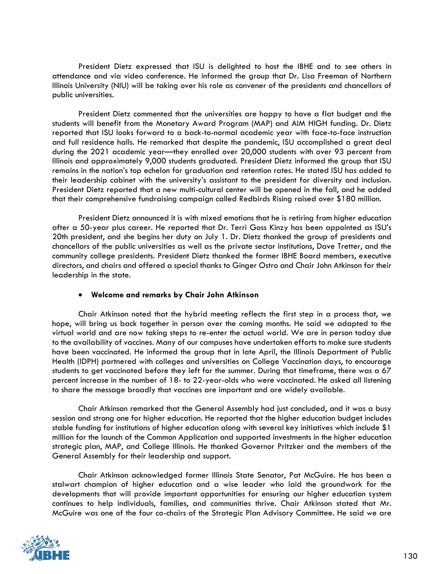President Dietz expressed that ISU is delighted to host the IBHE and to see others in attendance and via video conference. He informed the group that Dr. Lisa Freeman of Northern Illinois University (NIU) will be taking over his role as convener of the presidents and chancellors of public universities.

President Dietz commented that the universities are happy to have a flat budget and the students will benefit from the Monetary Award Program (MAP) and AIM HIGH funding. Dr. Dietz reported that ISU looks forward to a back-to-normal academic year with face-to-face instruction and full residence halls. He remarked that despite the pandemic, ISU accomplished a great deal during the 2021 academic year—they enrolled over 20,000 students with over 93 percent from Illinois and approximately 9,000 students graduated. President Dietz informed the group that ISU remains in the nation's top echelon for graduation and retention rates. He stated ISU has added to their leadership cabinet with the university's assistant to the president for diversity and inclusion. President Dietz reported that a new multi-cultural center will be opened in the fall, and he added that their comprehensive fundraising campaign called Redbirds Rising raised over \$180 million.

President Dietz announced it is with mixed emotions that he is retiring from higher education after a 50-year plus career. He reported that Dr. Terri Goss Kinzy has been appointed as ISU's 20th president, and she begins her duty on July 1. Dr. Dietz thanked the group of presidents and chancellors of the public universities as well as the private sector institutions, Dave Tretter, and the community college presidents. President Dietz thanked the former IBHE Board members, executive directors, and chairs and offered a special thanks to Ginger Ostro and Chair John Atkinson for their leadership in the state.

## • **Welcome and remarks by Chair John Atkinson**

Chair Atkinson noted that the hybrid meeting reflects the first step in a process that, we hope, will bring us back together in person over the coming months. He said we adapted to the virtual world and are now taking steps to re-enter the actual world. We are in person today due to the availability of vaccines. Many of our campuses have undertaken efforts to make sure students have been vaccinated. He informed the group that in late April, the Illinois Department of Public Health (IDPH) partnered with colleges and universities on College Vaccination days, to encourage students to get vaccinated before they left for the summer. During that timeframe, there was a 67 percent increase in the number of 18- to 22-year-olds who were vaccinated. He asked all listening to share the message broadly that vaccines are important and are widely available.

Chair Atkinson remarked that the General Assembly had just concluded, and it was a busy session and strong one for higher education. He reported that the higher education budget includes stable funding for institutions of higher education along with several key initiatives which include \$1 million for the launch of the Common Application and supported investments in the higher education strategic plan, MAP, and College Illinois. He thanked Governor Pritzker and the members of the General Assembly for their leadership and support.

Chair Atkinson acknowledged former Illinois State Senator, Pat McGuire. He has been a stalwart champion of higher education and a wise leader who laid the groundwork for the developments that will provide important opportunities for ensuring our higher education system continues to help individuals, families, and communities thrive. Chair Atkinson stated that Mr. McGuire was one of the four co-chairs of the Strategic Plan Advisory Committee. He said we are

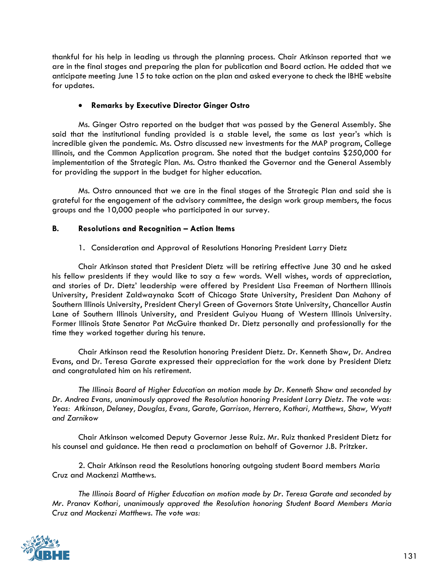thankful for his help in leading us through the planning process. Chair Atkinson reported that we are in the final stages and preparing the plan for publication and Board action. He added that we anticipate meeting June 15 to take action on the plan and asked everyone to check the IBHE website for updates.

# • **Remarks by Executive Director Ginger Ostro**

Ms. Ginger Ostro reported on the budget that was passed by the General Assembly. She said that the institutional funding provided is a stable level, the same as last year's which is incredible given the pandemic. Ms. Ostro discussed new investments for the MAP program, College Illinois, and the Common Application program. She noted that the budget contains \$250,000 for implementation of the Strategic Plan. Ms. Ostro thanked the Governor and the General Assembly for providing the support in the budget for higher education.

Ms. Ostro announced that we are in the final stages of the Strategic Plan and said she is grateful for the engagement of the advisory committee, the design work group members, the focus groups and the 10,000 people who participated in our survey.

## **B. Resolutions and Recognition – Action Items**

## 1. Consideration and Approval of Resolutions Honoring President Larry Dietz

Chair Atkinson stated that President Dietz will be retiring effective June 30 and he asked his fellow presidents if they would like to say a few words. Well wishes, words of appreciation, and stories of Dr. Dietz' leadership were offered by President Lisa Freeman of Northern Illinois University, President Zaldwaynaka Scott of Chicago State University, President Dan Mahony of Southern Illinois University, President Cheryl Green of Governors State University, Chancellor Austin Lane of Southern Illinois University, and President Guiyou Huang of Western Illinois University. Former Illinois State Senator Pat McGuire thanked Dr. Dietz personally and professionally for the time they worked together during his tenure.

Chair Atkinson read the Resolution honoring President Dietz. Dr. Kenneth Shaw, Dr. Andrea Evans, and Dr. Teresa Garate expressed their appreciation for the work done by President Dietz and congratulated him on his retirement.

*The Illinois Board of Higher Education on motion made by Dr. Kenneth Shaw and seconded by Dr. Andrea Evans, unanimously approved the Resolution honoring President Larry Dietz. The vote was: Yeas: Atkinson, Delaney, Douglas, Evans, Garate, Garrison, Herrero, Kothari, Matthews, Shaw, Wyatt and Zarnikow*

Chair Atkinson welcomed Deputy Governor Jesse Ruiz. Mr. Ruiz thanked President Dietz for his counsel and guidance. He then read a proclamation on behalf of Governor J.B. Pritzker.

2. Chair Atkinson read the Resolutions honoring outgoing student Board members Maria Cruz and Mackenzi Matthews.

*The Illinois Board of Higher Education on motion made by Dr. Teresa Garate and seconded by Mr. Pranav Kothari, unanimously approved the Resolution honoring Student Board Members Maria Cruz and Mackenzi Matthews. The vote was:*

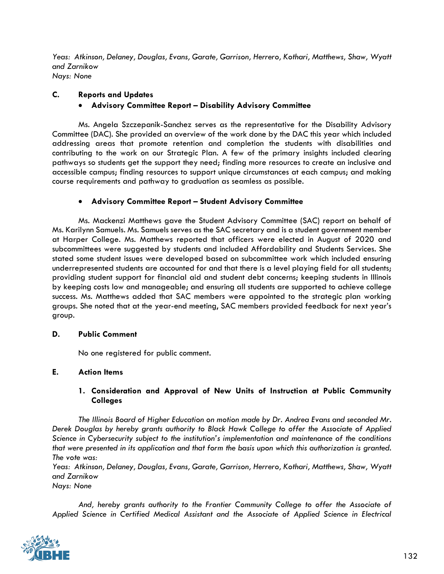*Yeas: Atkinson, Delaney, Douglas, Evans, Garate, Garrison, Herrero, Kothari, Matthews, Shaw, Wyatt and Zarnikow Nays: None*

**C. Reports and Updates**

# • **Advisory Committee Report – Disability Advisory Committee**

Ms. Angela Szczepanik-Sanchez serves as the representative for the Disability Advisory Committee (DAC). She provided an overview of the work done by the DAC this year which included addressing areas that promote retention and completion the students with disabilities and contributing to the work on our Strategic Plan. A few of the primary insights included clearing pathways so students get the support they need; finding more resources to create an inclusive and accessible campus; finding resources to support unique circumstances at each campus; and making course requirements and pathway to graduation as seamless as possible.

## • **Advisory Committee Report – Student Advisory Committee**

Ms. Mackenzi Matthews gave the Student Advisory Committee (SAC) report on behalf of Ms. Karilynn Samuels. Ms. Samuels serves as the SAC secretary and is a student government member at Harper College. Ms. Matthews reported that officers were elected in August of 2020 and subcommittees were suggested by students and included Affordability and Students Services. She stated some student issues were developed based on subcommittee work which included ensuring underrepresented students are accounted for and that there is a level playing field for all students; providing student support for financial aid and student debt concerns; keeping students in Illinois by keeping costs low and manageable; and ensuring all students are supported to achieve college success. Ms. Matthews added that SAC members were appointed to the strategic plan working groups. She noted that at the year-end meeting, SAC members provided feedback for next year's group.

## **D. Public Comment**

No one registered for public comment.

## **E. Action Items**

# **1. Consideration and Approval of New Units of Instruction at Public Community Colleges**

*The Illinois Board of Higher Education on motion made by Dr. Andrea Evans and seconded Mr. Derek Douglas by hereby grants authority to Black Hawk College to offer the Associate of Applied Science in Cybersecurity subject to the institution's implementation and maintenance of the conditions that were presented in its application and that form the basis upon which this authorization is granted. The vote was:*

*Yeas: Atkinson, Delaney, Douglas, Evans, Garate, Garrison, Herrero, Kothari, Matthews, Shaw, Wyatt and Zarnikow*

*Nays: None*

*And, hereby grants authority to the Frontier Community College to offer the Associate of Applied Science in Certified Medical Assistant and the Associate of Applied Science in Electrical* 

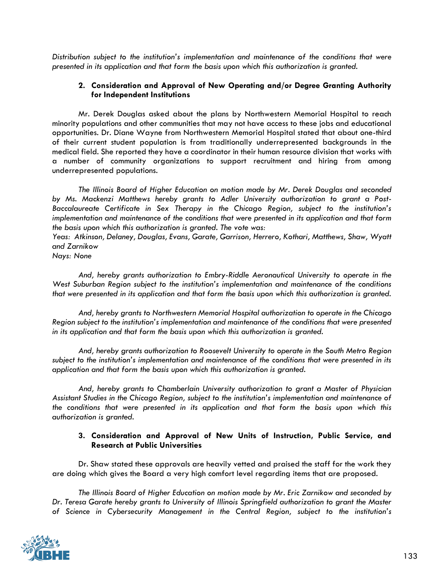*Distribution subject to the institution's implementation and maintenance of the conditions that were presented in its application and that form the basis upon which this authorization is granted.* 

## **2. Consideration and Approval of New Operating and/or Degree Granting Authority for Independent Institutions**

Mr. Derek Douglas asked about the plans by Northwestern Memorial Hospital to reach minority populations and other communities that may not have access to these jobs and educational opportunities. Dr. Diane Wayne from Northwestern Memorial Hospital stated that about one-third of their current student population is from traditionally underrepresented backgrounds in the medical field. She reported they have a coordinator in their human resource division that works with a number of community organizations to support recruitment and hiring from among underrepresented populations.

*The Illinois Board of Higher Education on motion made by Mr. Derek Douglas and seconded by Ms. Mackenzi Matthews hereby grants to Adler University authorization to grant a Post-Baccalaureate Certificate in Sex Therapy in the Chicago Region, subject to the institution's implementation and maintenance of the conditions that were presented in its application and that form the basis upon which this authorization is granted. The vote was:*

*Yeas: Atkinson, Delaney, Douglas, Evans, Garate, Garrison, Herrero, Kothari, Matthews, Shaw, Wyatt and Zarnikow*

*Nays: None*

*And, hereby grants authorization to Embry-Riddle Aeronautical University to operate in the West Suburban Region subject to the institution's implementation and maintenance of the conditions that were presented in its application and that form the basis upon which this authorization is granted.*

*And, hereby grants to Northwestern Memorial Hospital authorization to operate in the Chicago Region subject to the institution's implementation and maintenance of the conditions that were presented in its application and that form the basis upon which this authorization is granted.* 

*And, hereby grants authorization to Roosevelt University to operate in the South Metro Region subject to the institution's implementation and maintenance of the conditions that were presented in its application and that form the basis upon which this authorization is granted.*

*And, hereby grants to Chamberlain University authorization to grant a Master of Physician Assistant Studies in the Chicago Region, subject to the institution's implementation and maintenance of the conditions that were presented in its application and that form the basis upon which this authorization is granted.*

## **3. Consideration and Approval of New Units of Instruction, Public Service, and Research at Public Universities**

Dr. Shaw stated these approvals are heavily vetted and praised the staff for the work they are doing which gives the Board a very high comfort level regarding items that are proposed.

*The Illinois Board of Higher Education on motion made by Mr. Eric Zarnikow and seconded by Dr. Teresa Garate hereby grants to University of Illinois Springfield authorization to grant the Master of Science in Cybersecurity Management in the Central Region, subject to the institution's* 

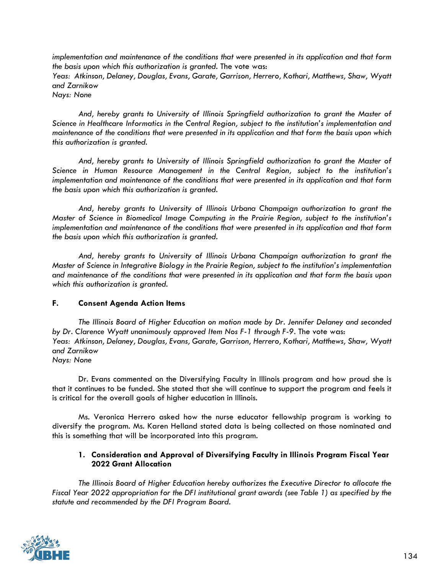*implementation and maintenance of the conditions that were presented in its application and that form the basis upon which this authorization is granted.* The vote was: *Yeas: Atkinson, Delaney, Douglas, Evans, Garate, Garrison, Herrero, Kothari, Matthews, Shaw, Wyatt and Zarnikow Nays: None*

*And, hereby grants to University of Illinois Springfield authorization to grant the Master of Science in Healthcare Informatics in the Central Region, subject to the institution's implementation and maintenance of the conditions that were presented in its application and that form the basis upon which this authorization is granted.*

*And, hereby grants to University of Illinois Springfield authorization to grant the Master of Science in Human Resource Management in the Central Region, subject to the institution's implementation and maintenance of the conditions that were presented in its application and that form the basis upon which this authorization is granted.*

*And, hereby grants to University of Illinois Urbana Champaign authorization to grant the Master of Science in Biomedical Image Computing in the Prairie Region, subject to the institution's implementation and maintenance of the conditions that were presented in its application and that form the basis upon which this authorization is granted.*

*And, hereby grants to University of Illinois Urbana Champaign authorization to grant the Master of Science in Integrative Biology in the Prairie Region, subject to the institution's implementation and maintenance of the conditions that were presented in its application and that form the basis upon which this authorization is granted.*

## **F. Consent Agenda Action Items**

*The Illinois Board of Higher Education on motion made by Dr. Jennifer Delaney and seconded by Dr. Clarence Wyatt unanimously approved Item Nos F-1 through F-9.* The vote was: *Yeas: Atkinson, Delaney, Douglas, Evans, Garate, Garrison, Herrero, Kothari, Matthews, Shaw, Wyatt and Zarnikow Nays: None*

Dr. Evans commented on the Diversifying Faculty in Illinois program and how proud she is that it continues to be funded. She stated that she will continue to support the program and feels it is critical for the overall goals of higher education in Illinois.

Ms. Veronica Herrero asked how the nurse educator fellowship program is working to diversify the program. Ms. Karen Helland stated data is being collected on those nominated and this is something that will be incorporated into this program.

# **1. Consideration and Approval of Diversifying Faculty in Illinois Program Fiscal Year 2022 Grant Allocation**

*The Illinois Board of Higher Education hereby authorizes the Executive Director to allocate the Fiscal Year 2022 appropriation for the DFI institutional grant awards (see Table 1) as specified by the statute and recommended by the DFI Program Board.*

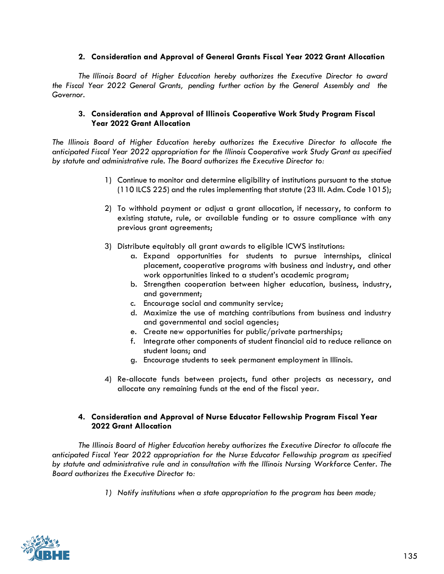## **2. Consideration and Approval of General Grants Fiscal Year 2022 Grant Allocation**

*The Illinois Board of Higher Education hereby authorizes the Executive Director to award the Fiscal Year 2022 General Grants, pending further action by the General Assembly and the Governor.*

# **3. Consideration and Approval of Illinois Cooperative Work Study Program Fiscal Year 2022 Grant Allocation**

*The Illinois Board of Higher Education hereby authorizes the Executive Director to allocate the anticipated Fiscal Year 2022 appropriation for the Illinois Cooperative work Study Grant as specified by statute and administrative rule. The Board authorizes the Executive Director to:*

- 1) Continue to monitor and determine eligibility of institutions pursuant to the statue (110 ILCS 225) and the rules implementing that statute (23 Ill. Adm. Code 1015);
- 2) To withhold payment or adjust a grant allocation, if necessary, to conform to existing statute, rule, or available funding or to assure compliance with any previous grant agreements;
- 3) Distribute equitably all grant awards to eligible ICWS institutions:
	- a. Expand opportunities for students to pursue internships, clinical placement, cooperative programs with business and industry, and other work opportunities linked to a student's academic program;
	- b. Strengthen cooperation between higher education, business, industry, and government;
	- c. Encourage social and community service;
	- d. Maximize the use of matching contributions from business and industry and governmental and social agencies;
	- e. Create new opportunities for public/private partnerships;
	- f. Integrate other components of student financial aid to reduce reliance on student loans; and
	- g. Encourage students to seek permanent employment in Illinois.
- 4) Re-allocate funds between projects, fund other projects as necessary, and allocate any remaining funds at the end of the fiscal year.

## **4. Consideration and Approval of Nurse Educator Fellowship Program Fiscal Year 2022 Grant Allocation**

*The Illinois Board of Higher Education hereby authorizes the Executive Director to allocate the anticipated Fiscal Year 2022 appropriation for the Nurse Educator Fellowship program as specified by statute and administrative rule and in consultation with the Illinois Nursing Workforce Center. The Board authorizes the Executive Director to:* 

*1) Notify institutions when a state appropriation to the program has been made;* 

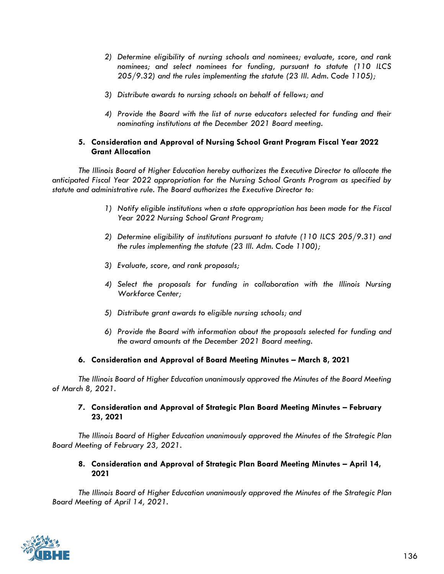- *2) Determine eligibility of nursing schools and nominees; evaluate, score, and rank nominees; and select nominees for funding, pursuant to statute (110 ILCS 205/9.32) and the rules implementing the statute (23 Ill. Adm. Code 1105);*
- *3) Distribute awards to nursing schools on behalf of fellows; and*
- *4) Provide the Board with the list of nurse educators selected for funding and their nominating institutions at the December 2021 Board meeting.*

## **5. Consideration and Approval of Nursing School Grant Program Fiscal Year 2022 Grant Allocation**

*The Illinois Board of Higher Education hereby authorizes the Executive Director to allocate the anticipated Fiscal Year 2022 appropriation for the Nursing School Grants Program as specified by statute and administrative rule. The Board authorizes the Executive Director to:*

- *1) Notify eligible institutions when a state appropriation has been made for the Fiscal Year 2022 Nursing School Grant Program;*
- *2) Determine eligibility of institutions pursuant to statute (110 ILCS 205/9.31) and the rules implementing the statute (23 Ill. Adm. Code 1100);*
- *3) Evaluate, score, and rank proposals;*
- *4) Select the proposals for funding in collaboration with the Illinois Nursing Workforce Center;*
- *5) Distribute grant awards to eligible nursing schools; and*
- *6) Provide the Board with information about the proposals selected for funding and the award amounts at the December 2021 Board meeting.*

## **6. Consideration and Approval of Board Meeting Minutes – March 8, 2021**

*The Illinois Board of Higher Education unanimously approved the Minutes of the Board Meeting of March 8, 2021.*

## **7. Consideration and Approval of Strategic Plan Board Meeting Minutes – February 23, 2021**

*The Illinois Board of Higher Education unanimously approved the Minutes of the Strategic Plan Board Meeting of February 23, 2021.*

#### **8. Consideration and Approval of Strategic Plan Board Meeting Minutes – April 14, 2021**

*The Illinois Board of Higher Education unanimously approved the Minutes of the Strategic Plan Board Meeting of April 14, 2021.*

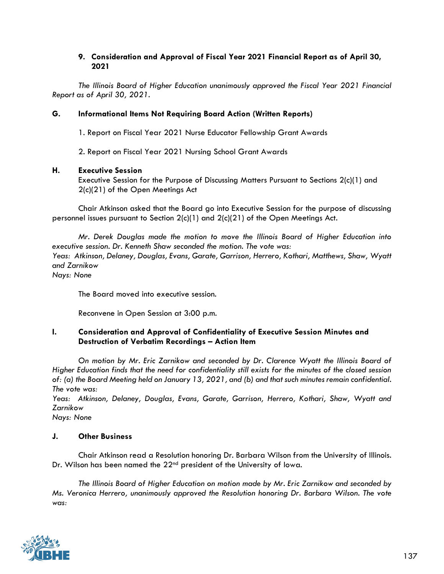## **9. Consideration and Approval of Fiscal Year 2021 Financial Report as of April 30, 2021**

*The Illinois Board of Higher Education unanimously approved the Fiscal Year 2021 Financial Report as of April 30, 2021.*

# **G. Informational Items Not Requiring Board Action (Written Reports)**

1. Report on Fiscal Year 2021 Nurse Educator Fellowship Grant Awards

2. Report on Fiscal Year 2021 Nursing School Grant Awards

## **H. Executive Session**

Executive Session for the Purpose of Discussing Matters Pursuant to Sections 2(c)(1) and 2(c)(21) of the Open Meetings Act

Chair Atkinson asked that the Board go into Executive Session for the purpose of discussing personnel issues pursuant to Section 2(c)(1) and 2(c)(21) of the Open Meetings Act*.* 

*Mr. Derek Douglas made the motion to move the Illinois Board of Higher Education into executive session. Dr. Kenneth Shaw seconded the motion. The vote was: Yeas: Atkinson, Delaney, Douglas, Evans, Garate, Garrison, Herrero, Kothari, Matthews, Shaw, Wyatt and Zarnikow Nays: None*

The Board moved into executive session.

Reconvene in Open Session at 3:00 p.m.

#### **I. Consideration and Approval of Confidentiality of Executive Session Minutes and Destruction of Verbatim Recordings – Action Item**

*On motion by Mr. Eric Zarnikow and seconded by Dr. Clarence Wyatt the Illinois Board of Higher Education finds that the need for confidentiality still exists for the minutes of the closed session of: (a) the Board Meeting held on January 13, 2021, and (b) and that such minutes remain confidential. The vote was:*

*Yeas: Atkinson, Delaney, Douglas, Evans, Garate, Garrison, Herrero, Kothari, Shaw, Wyatt and Zarnikow*

*Nays: None*

## **J. Other Business**

Chair Atkinson read a Resolution honoring Dr. Barbara Wilson from the University of Illinois. Dr. Wilson has been named the 22<sup>nd</sup> president of the University of Iowa.

*The Illinois Board of Higher Education on motion made by Mr. Eric Zarnikow and seconded by Ms. Veronica Herrero, unanimously approved the Resolution honoring Dr. Barbara Wilson. The vote was:*